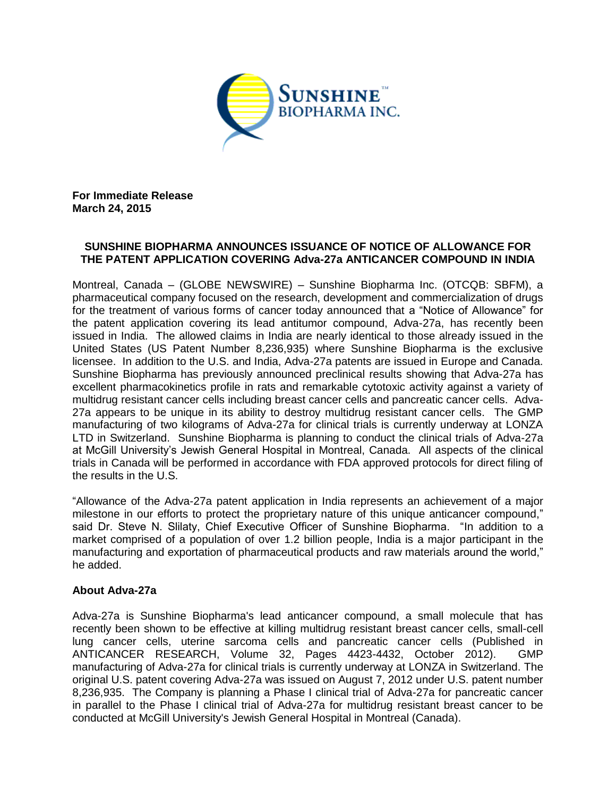

**For Immediate Release March 24, 2015**

## **SUNSHINE BIOPHARMA ANNOUNCES ISSUANCE OF NOTICE OF ALLOWANCE FOR THE PATENT APPLICATION COVERING Adva-27a ANTICANCER COMPOUND IN INDIA**

Montreal, Canada – (GLOBE NEWSWIRE) – Sunshine Biopharma Inc. (OTCQB: SBFM), a pharmaceutical company focused on the research, development and commercialization of drugs for the treatment of various forms of cancer today announced that a "Notice of Allowance" for the patent application covering its lead antitumor compound, Adva-27a, has recently been issued in India. The allowed claims in India are nearly identical to those already issued in the United States (US Patent Number 8,236,935) where Sunshine Biopharma is the exclusive licensee. In addition to the U.S. and India, Adva-27a patents are issued in Europe and Canada. Sunshine Biopharma has previously announced preclinical results showing that Adva-27a has excellent pharmacokinetics profile in rats and remarkable cytotoxic activity against a variety of multidrug resistant cancer cells including breast cancer cells and pancreatic cancer cells. Adva-27a appears to be unique in its ability to destroy multidrug resistant cancer cells. The GMP manufacturing of two kilograms of Adva-27a for clinical trials is currently underway at LONZA LTD in Switzerland. Sunshine Biopharma is planning to conduct the clinical trials of Adva-27a at McGill University's Jewish General Hospital in Montreal, Canada. All aspects of the clinical trials in Canada will be performed in accordance with FDA approved protocols for direct filing of the results in the U.S.

"Allowance of the Adva-27a patent application in India represents an achievement of a major milestone in our efforts to protect the proprietary nature of this unique anticancer compound," said Dr. Steve N. Slilaty, Chief Executive Officer of Sunshine Biopharma. "In addition to a market comprised of a population of over 1.2 billion people, India is a major participant in the manufacturing and exportation of pharmaceutical products and raw materials around the world," he added.

## **About Adva-27a**

Adva-27a is Sunshine Biopharma's lead anticancer compound, a small molecule that has recently been shown to be effective at killing multidrug resistant breast cancer cells, small-cell lung cancer cells, uterine sarcoma cells and pancreatic cancer cells (Published in ANTICANCER RESEARCH, Volume 32, Pages 4423-4432, October 2012). GMP manufacturing of Adva-27a for clinical trials is currently underway at LONZA in Switzerland. The original U.S. patent covering Adva-27a was issued on August 7, 2012 under U.S. patent number 8,236,935. The Company is planning a Phase I clinical trial of Adva-27a for pancreatic cancer in parallel to the Phase I clinical trial of Adva-27a for multidrug resistant breast cancer to be conducted at McGill University's Jewish General Hospital in Montreal (Canada).